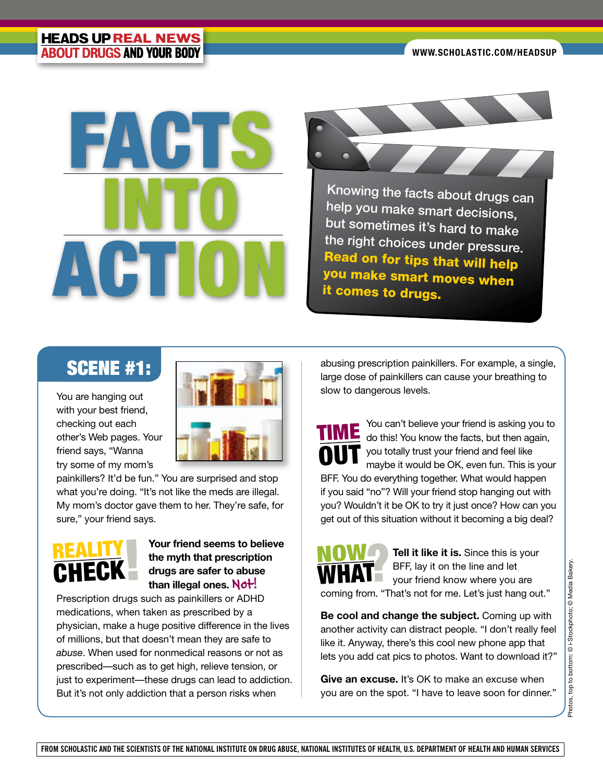

Knowing the facts about drugs can help you make smart decisions, but sometimes it's hard to make the right choices under pressure. Read on for tips that will help you make smart moves when it comes to drugs.

## SCENE #1:

You are hanging out with your best friend, checking out each other's Web pages. Your friend says, "Wanna try some of my mom's



painkillers? It'd be fun." You are surprised and stop what you're doing. "It's not like the meds are illegal. My mom's doctor gave them to her. They're safe, for sure," your friend says.



## **Your friend seems to believe the myth that prescription drugs are safer to abuse**  than illegal ones. Not!

Prescription drugs such as painkillers or ADHD medications, when taken as prescribed by a physician, make a huge positive difference in the lives of millions, but that doesn't mean they are safe to *abuse*. When used for nonmedical reasons or not as prescribed—such as to get high, relieve tension, or just to experiment—these drugs can lead to addiction. But it's not only addiction that a person risks when

abusing prescription painkillers. For example, a single, large dose of painkillers can cause your breathing to slow to dangerous levels.

You can't believe your friend is asking you to do this! You know the facts, but then again, you totally trust your friend and feel like maybe it would be OK, even fun. This is your BFF. You do everything together. What would happen if you said "no"? Will your friend stop hanging out with you? Wouldn't it be OK to try it just once? How can you get out of this situation without it becoming a big deal? TIME OUT



**Tell it like it is.** Since this is your BFF, lay it on the line and let your friend know where you are coming from. "That's not for me. Let's just hang out."

**Be cool and change the subject.** Coming up with another activity can distract people. "I don't really feel like it. Anyway, there's this cool new phone app that lets you add cat pics to photos. Want to download it?"

**Give an excuse.** It's OK to make an excuse when you are on the spot. "I have to leave soon for dinner."